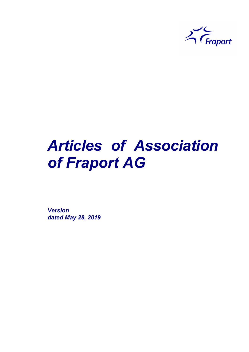

# *Articles of Association of Fraport AG*

*Version dated May 28, 2019*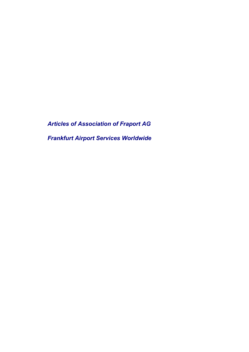*Articles of Association of Fraport AG Frankfurt Airport Services Worldwide*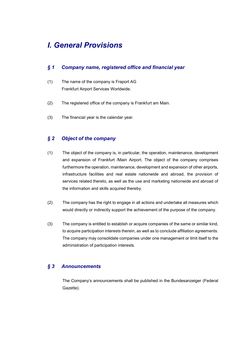# *I. General Provisions*

# *§ 1 Company name, registered office and financial year*

- (1) The name of the company is Fraport AG Frankfurt Airport Services Worldwide.
- (2) The registered office of the company is Frankfurt am Main.
- (3) The financial year is the calendar year.

# *§ 2 Object of the company*

- (1) The object of the company is, in particular, the operation, maintenance, development and expansion of Frankfurt /Main Airport. The object of the company comprises furthermore the operation, maintenance, development and expansion of other airports, infrastructure facilities and real estate nationwide and abroad, the provision of services related thereto, as well as the use and marketing nationwide and abroad of the information and skills acquired thereby.
- (2) The company has the right to engage in all actions and undertake all measures which would directly or indirectly support the achievement of the purpose of the company.
- (3) The company is entitled to establish or acquire companies of the same or similar kind, to acquire participation interests therein, as well as to conclude affiliation agreements. The company may consolidate companies under one management or limit itself to the administration of participation interests.

# *§ 3 Announcements*

The Company's announcements shall be published in the Bundesanzeiger (Federal Gazette).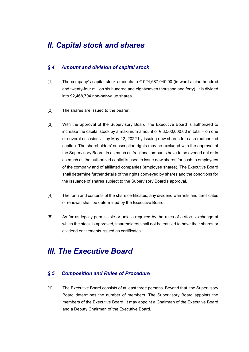# *II. Capital stock and shares*

## *§ 4 Amount and division of capital stock*

- (1) The company's capital stock amounts to  $\epsilon$  924,687,040.00 (in words: nine hundred and twenty-four million six hundred and eightyseven thousand and forty). It is divided into 92,468,704 non-par-value shares.
- (2) The shares are issued to the bearer.
- (3) With the approval of the Supervisory Board, the Executive Board is authorized to increase the capital stock by a maximum amount of  $\epsilon$  3.500,000,00 in total – on one or several occasions – by May 22, 2022 by issuing new shares for cash (authorized capital). The shareholders' subscription rights may be excluded with the approval of the Supervisory Board, in as much as fractional amounts have to be evened out or in as much as the authorized capital is used to issue new shares for cash to employees of the company and of affiliated companies (employee shares). The Executive Board shall determine further details of the rights conveyed by shares and the conditions for the issuance of shares subject to the Supervisory Board's approval.
- (4) The form and contents of the share certificates, any dividend warrants and certificates of renewal shall be determined by the Executive Board.
- (5) As far as legally permissible or unless required by the rules of a stock exchange at which the stock is approved, shareholders shall not be entitled to have their shares or dividend entitlements issued as certificates.

# *III. The Executive Board*

#### *§ 5 Composition and Rules of Procedure*

(1) The Executive Board consists of at least three persons. Beyond that, the Supervisory Board determines the number of members. The Supervisory Board appoints the members of the Executive Board. It may appoint a Chairman of the Executive Board and a Deputy Chairman of the Executive Board.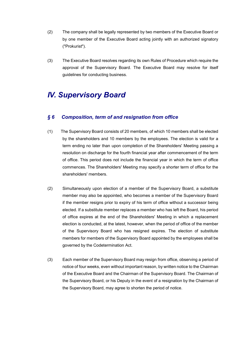- (2) The company shall be legally represented by two members of the Executive Board or by one member of the Executive Board acting jointly with an authorized signatory ("Prokurist").
- (3) The Executive Board resolves regarding its own Rules of Procedure which require the approval of the Supervisory Board. The Executive Board may resolve for itself guidelines for conducting business.

# *IV. Supervisory Board*

## *§ 6 Composition, term of and resignation from office*

- (1) The Supervisory Board consists of 20 members, of which 10 members shall be elected by the shareholders and 10 members by the employees. The election is valid for a term ending no later than upon completion of the Shareholders' Meeting passing a resolution on discharge for the fourth financial year after commencement of the term of office. This period does not include the financial year in which the term of office commences. The Shareholders' Meeting may specify a shorter term of office for the shareholders' members.
- (2) Simultaneously upon election of a member of the Supervisory Board, a substitute member may also be appointed, who becomes a member of the Supervisory Board if the member resigns prior to expiry of his term of office without a successor being elected. If a substitute member replaces a member who has left the Board, his period of office expires at the end of the Shareholders' Meeting in which a replacement election is conducted, at the latest, however, when the period of office of the member of the Supervisory Board who has resigned expires. The election of substitute members for members of the Supervisory Board appointed by the employees shall be governed by the Codetermination Act.
- (3) Each member of the Supervisory Board may resign from office, observing a period of notice of four weeks, even without important reason, by written notice to the Chairman of the Executive Board and the Chairman of the Supervisory Board. The Chairman of the Supervisory Board, or his Deputy in the event of a resignation by the Chairman of the Supervisory Board, may agree to shorten the period of notice.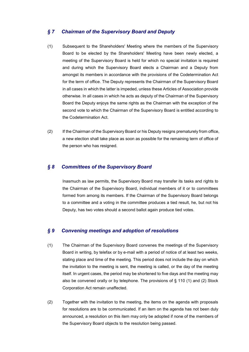#### *§ 7 Chairman of the Supervisory Board and Deputy*

- (1) Subsequent to the Shareholders' Meeting where the members of the Supervisory Board to be elected by the Shareholders' Meeting have been newly elected, a meeting of the Supervisory Board is held for which no special invitation is required and during which the Supervisory Board elects a Chairman and a Deputy from amongst its members in accordance with the provisions of the Codetermination Act for the term of office. The Deputy represents the Chairman of the Supervisory Board in all cases in which the latter is impeded, unless these Articles of Association provide otherwise. In all cases in which he acts as deputy of the Chairman of the Supervisory Board the Deputy enjoys the same rights as the Chairman with the exception of the second vote to which the Chairman of the Supervisory Board is entitled according to the Codetermination Act.
- (2) If the Chairman of the Supervisory Board or his Deputy resigns prematurely from office, a new election shall take place as soon as possible for the remaining term of office of the person who has resigned.

## *§ 8 Committees of the Supervisory Board*

Inasmuch as law permits, the Supervisory Board may transfer its tasks and rights to the Chairman of the Supervisory Board, individual members of it or to committees formed from among its members. If the Chairman of the Supervisory Board belongs to a committee and a voting in the committee produces a tied result, he, but not his Deputy, has two votes should a second ballot again produce tied votes.

#### *§ 9 Convening meetings and adoption of resolutions*

- (1) The Chairman of the Supervisory Board convenes the meetings of the Supervisory Board in writing, by telefax or by e-mail with a period of notice of at least two weeks, stating place and time of the meeting. This period does not include the day on which the invitation to the meeting is sent, the meeting is called, or the day of the meeting itself. In urgent cases, the period may be shortened to five days and the meeting may also be convened orally or by telephone. The provisions of § 110 (1) and (2) Stock Corporation Act remain unaffected.
- (2) Together with the invitation to the meeting, the items on the agenda with proposals for resolutions are to be communicated. If an item on the agenda has not been duly announced, a resolution on this item may only be adopted if none of the members of the Supervisory Board objects to the resolution being passed.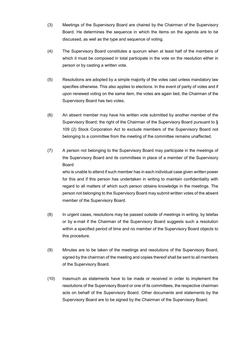- (3) Meetings of the Supervisory Board are chaired by the Chairman of the Supervisory Board. He determines the sequence in which the items on the agenda are to be discussed, as well as the type and sequence of voting.
- (4) The Supervisory Board constitutes a quorum when at least half of the members of which it must be composed in total participate in the vote on the resolution either in person or by casting a written vote.
- (5) Resolutions are adopted by a simple majority of the votes cast unless mandatory law specifies otherwise. This also applies to elections. In the event of parity of votes and if upon renewed voting on the same item, the votes are again tied, the Chairman of the Supervisory Board has two votes.
- (6) An absent member may have his written vote submitted by another member of the Supervisory Board; the right of the Chairman of the Supervisory Board pursuant to § 109 (2) Stock Corporation Act to exclude members of the Supervisory Board not belonging to a committee from the meeting of the committee remains unaffected.
- (7) A person not belonging to the Supervisory Board may participate in the meetings of the Supervisory Board and its committees in place of a member of the Supervisory Board who is unable to attend if such member has in each individual case given written power for this and if this person has undertaken in writing to maintain confidentiality with regard to all matters of which such person obtains knowledge in the meetings. The person not belonging to the Supervisory Board may submit written votes of the absent member of the Supervisory Board.
- (8) In urgent cases, resolutions may be passed outside of meetings in writing, by telefax or by e-mail if the Chairman of the Supervisory Board suggests such a resolution within a specified period of time and no member of the Supervisory Board objects to this procedure.
- (9) Minutes are to be taken of the meetings and resolutions of the Supervisory Board, signed by the chairman of the meeting and copies thereof shall be sent to all members of the Supervisory Board.
- (10) Inasmuch as statements have to be made or received in order to implement the resolutions of the Supervisory Board or one of its committees, the respective chairman acts on behalf of the Supervisory Board. Other documents and statements by the Supervisory Board are to be signed by the Chairman of the Supervisory Board.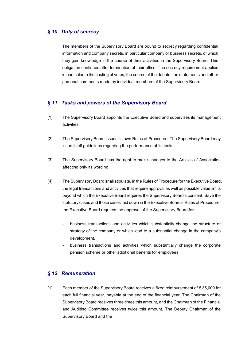## *§ 10 Duty of secrecy*

The members of the Supervisory Board are bound to secrecy regarding confidential information and company secrets, in particular company or business secrets, of which they gain knowledge in the course of their activities in the Supervisory Board. This obligation continues after termination of their office. The secrecy requirement applies in particular to the casting of votes, the course of the debate, the statements and other personal comments made by individual members of the Supervisory Board.

#### *§ 11 Tasks and powers of the Supervisory Board*

- (1) The Supervisory Board appoints the Executive Board and supervises its management activities.
- (2) The Supervisory Board issues its own Rules of Procedure. The Supervisory Board may issue itself guidelines regarding the performance of its tasks.
- (3) The Supervisory Board has the right to make changes to the Articles of Association affecting only its wording.
- (4) The Supervisory Board shall stipulate, in the Rules of Procedure for the Executive Board, the legal transactions and activities that require approval as well as possible value limits beyond which the Executive Board requires the Supervisory Board's consent. Save the statutory cases and those cases laid down in the Executive Board's Rules of Procedure, the Executive Board requires the approval of the Supervisory Board for:
	- business transactions and activities which substantially change the structure or strategy of the company or which lead to a substantial change in the company's development,
	- business transactions and activities which substantially change the corporate pension scheme or other additional benefits for employees.

## *§ 12 Remuneration*

(1) Each member of the Supervisory Board receives a fixed reimbursement of  $\epsilon$  35,000 for each full financial year, payable at the end of the financial year. The Chairman of the Supervisory Board receives three times this amount, and the Chairman of the Financial and Auditing Committee receives twice this amount. The Deputy Chairman of the Supervisory Board and the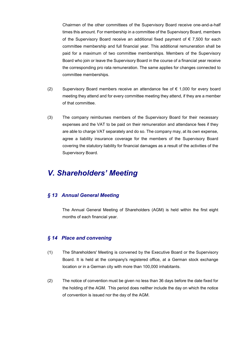Chairmen of the other committees of the Supervisory Board receive one-and-a-half times this amount. For membership in a committee of the Supervisory Board, members of the Supervisory Board receive an additional fixed payment of  $\epsilon$  7,500 for each committee membership and full financial year. This additional remuneration shall be paid for a maximum of two committee memberships. Members of the Supervisory Board who join or leave the Supervisory Board in the course of a financial year receive the corresponding pro rata remuneration. The same applies for changes connected to committee memberships.

- (2) Supervisory Board members receive an attendance fee of  $\epsilon$  1,000 for every board meeting they attend and for every committee meeting they attend, if they are a member of that committee.
- (3) The company reimburses members of the Supervisory Board for their necessary expenses and the VAT to be paid on their remuneration and attendance fees if they are able to charge VAT separately and do so. The company may, at its own expense, agree a liability insurance coverage for the members of the Supervisory Board covering the statutory liability for financial damages as a result of the activities of the Supervisory Board.

# *V. Shareholders' Meeting*

## *§ 13 Annual General Meeting*

The Annual General Meeting of Shareholders (AGM) is held within the first eight months of each financial year.

#### *§ 14 Place and convening*

- (1) The Shareholders' Meeting is convened by the Executive Board or the Supervisory Board. It is held at the company's registered office, at a German stock exchange location or in a German city with more than 100,000 inhabitants.
- (2) The notice of convention must be given no less than 36 days before the date fixed for the holding of the AGM. This period does neither include the day on which the notice of convention is issued nor the day of the AGM.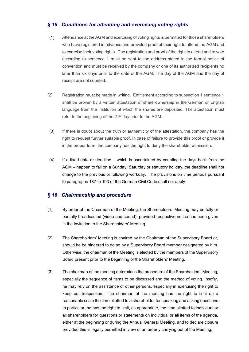# *§ 15 Conditions for attending and exercising voting rights*

- (1) Attendance at the AGM and exercising of voting rights is permitted for those shareholders who have registered in advance and provided proof of their right to attend the AGM and to exercise their voting rights. The registration and proof of the right to attend and to vote according to sentence 1 must be sent to the address stated in the formal notice of convention and must be received by the company or one of its authorized recipients no later than six days prior to the date of the AGM. The day of the AGM and the day of receipt are not counted.
- (2) Registration must be made in writing. Entitlement according to subsection 1 sentence 1 shall be proven by a written attestation of share ownership in the German or English language from the institution at which the shares are deposited. The attestation must refer to the beginning of the 21<sup>st</sup> day prior to the AGM.
- (3) If there is doubt about the truth or authenticity of the attestation, the company has the right to request further suitable proof. In case of failure to provide this proof or provide it in the proper form, the company has the right to deny the shareholder admission.
- (4) If a fixed date or deadline which is ascertained by counting the days back from the AGM – happen to fall on a Sunday, Saturday or statutory holiday, the deadline shall not change to the previous or following workday. The provisions on time periods pursuant to paragraphs 187 to 193 of the German Civil Code shall not apply.

## *§ 16 Chairmanship and procedure*

- (1) By order of the Chairman of the Meeting, the Shareholders' Meeting may be fully or partially broadcasted (video and sound), provided respective notice has been given in the invitation to the Shareholders' Meeting.
- (2) The Shareholders' Meeting is chaired by the Chairman of the Supervisory Board or, should he be hindered to do so by a Supervisory Board member designated by him. Otherwise, the chairman of the Meeting is elected by the members of the Supervisory Board present prior to the beginning of the Shareholders' Meeting.
- (3) The chairman of the meeting determines the procedure of the Shareholders' Meeting, especially the sequence of items to be discussed and the method of voting. Insofar, he may rely on the assistance of other persons, especially in exercising the right to keep out trespassers. The chairman of the meeting has the right to limit on a reasonable scale the time allotted to a shareholder for speaking and asking questions. In particular, he has the right to limit, as appropriate, the time allotted to individual or all shareholders for questions or statements on individual or all items of the agenda, either at the beginning or during the Annual General Meeting, and to declare closure provided this is legally permitted in view of an orderly carrying out of the Meeting.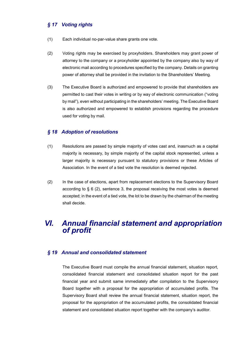# *§ 17 Voting rights*

- (1) Each individual no-par-value share grants one vote.
- (2) Voting rights may be exercised by proxyholders. Shareholders may grant power of attorney to the company or a proxyholder appointed by the company also by way of electronic mail according to procedures specified by the company. Details on granting power of attorney shall be provided in the invitation to the Shareholders' Meeting.
- (3) The Executive Board is authorized and empowered to provide that shareholders are permitted to cast their votes in writing or by way of electronic communication ("voting by mail"), even without participating in the shareholders' meeting. The Executive Board is also authorized and empowered to establish provisions regarding the procedure used for voting by mail.

#### *§ 18 Adoption of resolutions*

- (1) Resolutions are passed by simple majority of votes cast and, inasmuch as a capital majority is necessary, by simple majority of the capital stock represented, unless a larger majority is necessary pursuant to statutory provisions or these Articles of Association. In the event of a tied vote the resolution is deemed rejected.
- (2) In the case of elections, apart from replacement elections to the Supervisory Board according to  $\S 6$  (2), sentence 3, the proposal receiving the most votes is deemed accepted; in the event of a tied vote, the lot to be drawn by the chairman of the meeting shall decide.

# *VI. Annual financial statement and appropriation of profit*

#### *§ 19 Annual and consolidated statement*

The Executive Board must compile the annual financial statement, situation report, consolidated financial statement and consolidated situation report for the past financial year and submit same immediately after compilation to the Supervisory Board together with a proposal for the appropriation of accumulated profits. The Supervisory Board shall review the annual financial statement, situation report, the proposal for the appropriation of the accumulated profits, the consolidated financial statement and consolidated situation report together with the company's auditor.